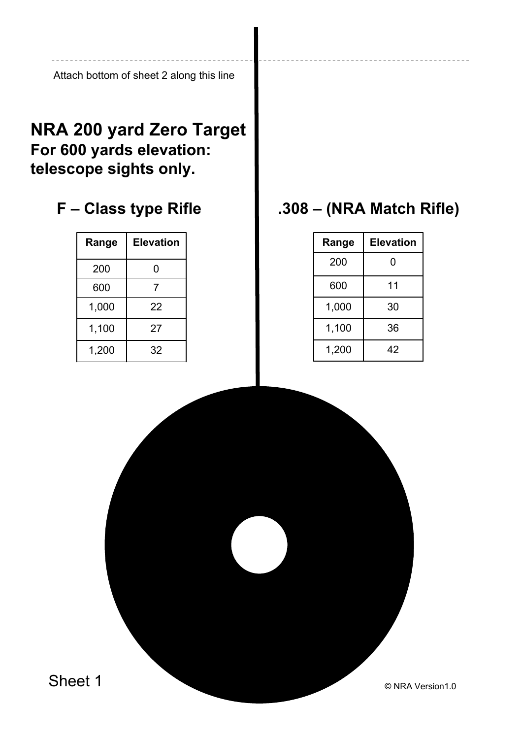Attach bottom of sheet 2 along this line

## **NRA 200 yard Zero Target For 600 yards elevation: telescope sights only.**

## **F – Class type Rifle**

| Range | Elevation |  |  |
|-------|-----------|--|--|
| 200   | 0         |  |  |
| 600   | 7         |  |  |
| 1,000 | 22        |  |  |
| 1,100 | 27        |  |  |
| 1,200 | 32        |  |  |

## **.308 – (NRA Match Rifle)**

| Range | <b>Elevation</b> |  |  |
|-------|------------------|--|--|
| 200   | 0                |  |  |
| 600   | 11               |  |  |
| 1,000 | 30               |  |  |
| 1,100 | 36               |  |  |
| 1,200 | 42               |  |  |

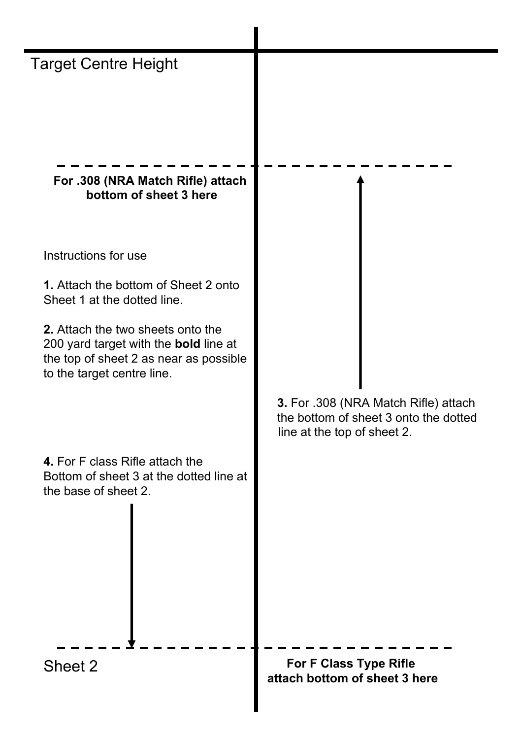